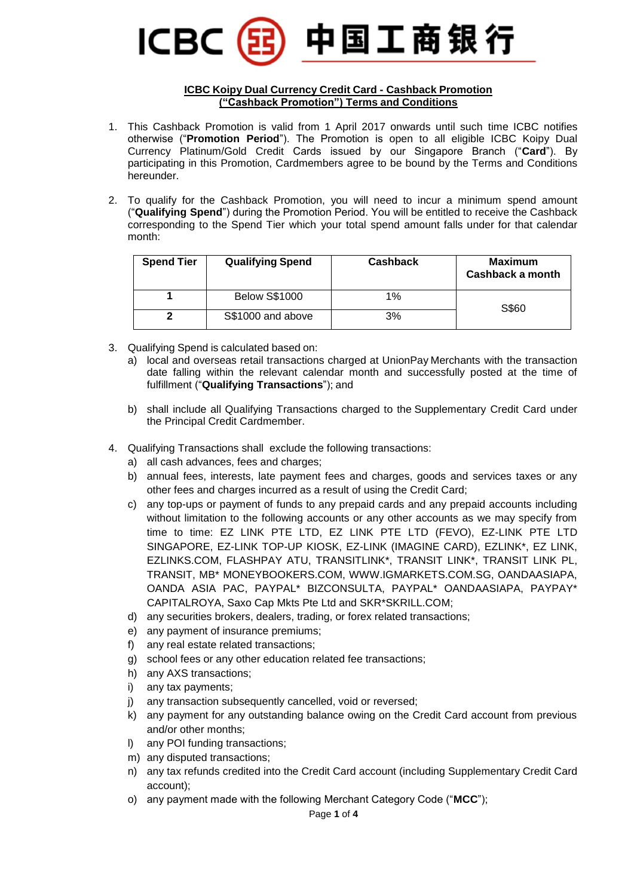

## **ICBC Koipy Dual Currency Credit Card - Cashback Promotion ("Cashback Promotion") Terms and Conditions**

- 1. This Cashback Promotion is valid from 1 April 2017 onwards until such time ICBC notifies otherwise ("**Promotion Period**"). The Promotion is open to all eligible ICBC Koipy Dual Currency Platinum/Gold Credit Cards issued by our Singapore Branch ("**Card**"). By participating in this Promotion, Cardmembers agree to be bound by the Terms and Conditions hereunder.
- 2. To qualify for the Cashback Promotion, you will need to incur a minimum spend amount ("**Qualifying Spend**") during the Promotion Period. You will be entitled to receive the Cashback corresponding to the Spend Tier which your total spend amount falls under for that calendar month:

| <b>Spend Tier</b> | <b>Qualifying Spend</b> | <b>Cashback</b> | <b>Maximum</b><br>Cashback a month |
|-------------------|-------------------------|-----------------|------------------------------------|
|                   | <b>Below S\$1000</b>    | 1%              | S\$60                              |
|                   | S\$1000 and above       | 3%              |                                    |

- 3. Qualifying Spend is calculated based on:
	- a) local and overseas retail transactions charged at UnionPay Merchants with the transaction date falling within the relevant calendar month and successfully posted at the time of fulfillment ("**Qualifying Transactions**"); and
	- b) shall include all Qualifying Transactions charged to the Supplementary Credit Card under the Principal Credit Cardmember.
- 4. Qualifying Transactions shall exclude the following transactions:
	- a) all cash advances, fees and charges;
	- b) annual fees, interests, late payment fees and charges, goods and services taxes or any other fees and charges incurred as a result of using the Credit Card;
	- c) any top-ups or payment of funds to any prepaid cards and any prepaid accounts including without limitation to the following accounts or any other accounts as we may specify from time to time: EZ LINK PTE LTD, EZ LINK PTE LTD (FEVO), EZ-LINK PTE LTD SINGAPORE, EZ-LINK TOP-UP KIOSK, EZ-LINK (IMAGINE CARD), EZLINK\*, EZ LINK, EZLINKS.COM, FLASHPAY ATU, TRANSITLINK\*, TRANSIT LINK\*, TRANSIT LINK PL, TRANSIT, MB\* MONEYBOOKERS.COM, WWW.IGMARKETS.COM.SG, OANDAASIAPA, OANDA ASIA PAC, PAYPAL\* BIZCONSULTA, PAYPAL\* OANDAASIAPA, PAYPAY\* CAPITALROYA, Saxo Cap Mkts Pte Ltd and SKR\*SKRILL.COM;
	- d) any securities brokers, dealers, trading, or forex related transactions;
	- e) any payment of insurance premiums;
	- f) any real estate related transactions;
	- g) school fees or any other education related fee transactions;
	- h) any AXS transactions;
	- i) any tax payments;
	- j) any transaction subsequently cancelled, void or reversed;
	- k) any payment for any outstanding balance owing on the Credit Card account from previous and/or other months;
	- l) any POI funding transactions;
	- m) any disputed transactions;
	- n) any tax refunds credited into the Credit Card account (including Supplementary Credit Card account);
	- o) any payment made with the following Merchant Category Code ("**MCC**");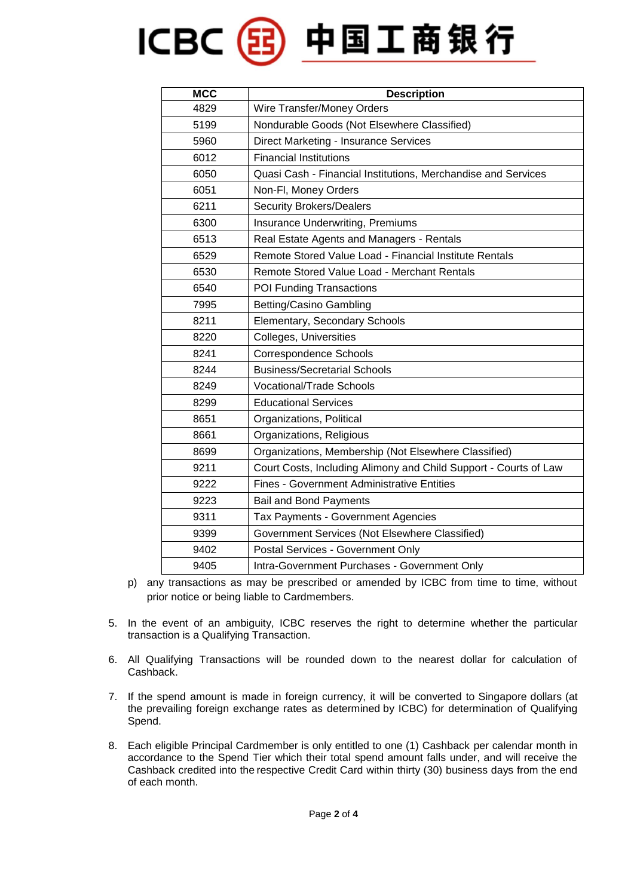## ICBC(BI)中国工商银行

| <b>MCC</b> | <b>Description</b>                                               |  |
|------------|------------------------------------------------------------------|--|
| 4829       | Wire Transfer/Money Orders                                       |  |
| 5199       | Nondurable Goods (Not Elsewhere Classified)                      |  |
| 5960       | Direct Marketing - Insurance Services                            |  |
| 6012       | <b>Financial Institutions</b>                                    |  |
| 6050       | Quasi Cash - Financial Institutions, Merchandise and Services    |  |
| 6051       | Non-Fl, Money Orders                                             |  |
| 6211       | <b>Security Brokers/Dealers</b>                                  |  |
| 6300       | Insurance Underwriting, Premiums                                 |  |
| 6513       | Real Estate Agents and Managers - Rentals                        |  |
| 6529       | Remote Stored Value Load - Financial Institute Rentals           |  |
| 6530       | Remote Stored Value Load - Merchant Rentals                      |  |
| 6540       | POI Funding Transactions                                         |  |
| 7995       | <b>Betting/Casino Gambling</b>                                   |  |
| 8211       | Elementary, Secondary Schools                                    |  |
| 8220       | Colleges, Universities                                           |  |
| 8241       | Correspondence Schools                                           |  |
| 8244       | <b>Business/Secretarial Schools</b>                              |  |
| 8249       | <b>Vocational/Trade Schools</b>                                  |  |
| 8299       | <b>Educational Services</b>                                      |  |
| 8651       | Organizations, Political                                         |  |
| 8661       | Organizations, Religious                                         |  |
| 8699       | Organizations, Membership (Not Elsewhere Classified)             |  |
| 9211       | Court Costs, Including Alimony and Child Support - Courts of Law |  |
| 9222       | <b>Fines - Government Administrative Entities</b>                |  |
| 9223       | <b>Bail and Bond Payments</b>                                    |  |
| 9311       | Tax Payments - Government Agencies                               |  |
| 9399       | Government Services (Not Elsewhere Classified)                   |  |
| 9402       | Postal Services - Government Only                                |  |
| 9405       | Intra-Government Purchases - Government Only                     |  |

- p) any transactions as may be prescribed or amended by ICBC from time to time, without prior notice or being liable to Cardmembers.
- 5. In the event of an ambiguity, ICBC reserves the right to determine whether the particular transaction is a Qualifying Transaction.
- 6. All Qualifying Transactions will be rounded down to the nearest dollar for calculation of Cashback.
- 7. If the spend amount is made in foreign currency, it will be converted to Singapore dollars (at the prevailing foreign exchange rates as determined by ICBC) for determination of Qualifying Spend.
- 8. Each eligible Principal Cardmember is only entitled to one (1) Cashback per calendar month in accordance to the Spend Tier which their total spend amount falls under, and will receive the Cashback credited into the respective Credit Card within thirty (30) business days from the end of each month.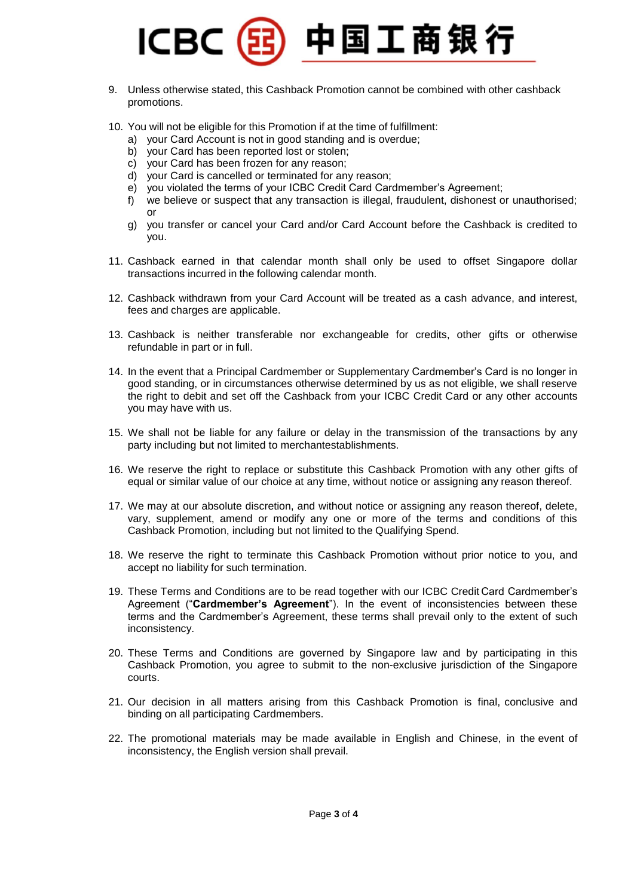

- 9. Unless otherwise stated, this Cashback Promotion cannot be combined with other cashback promotions.
- 10. You will not be eligible for this Promotion if at the time of fulfillment:
	- a) your Card Account is not in good standing and is overdue;
	- b) your Card has been reported lost or stolen;
	- c) your Card has been frozen for any reason;
	- d) your Card is cancelled or terminated for any reason;
	- e) you violated the terms of your ICBC Credit Card Cardmember's Agreement;
	- f) we believe or suspect that any transaction is illegal, fraudulent, dishonest or unauthorised; or
	- g) you transfer or cancel your Card and/or Card Account before the Cashback is credited to you.
- 11. Cashback earned in that calendar month shall only be used to offset Singapore dollar transactions incurred in the following calendar month.
- 12. Cashback withdrawn from your Card Account will be treated as a cash advance, and interest, fees and charges are applicable.
- 13. Cashback is neither transferable nor exchangeable for credits, other gifts or otherwise refundable in part or in full.
- 14. In the event that a Principal Cardmember or Supplementary Cardmember's Card is no longer in good standing, or in circumstances otherwise determined by us as not eligible, we shall reserve the right to debit and set off the Cashback from your ICBC Credit Card or any other accounts you may have with us.
- 15. We shall not be liable for any failure or delay in the transmission of the transactions by any party including but not limited to merchantestablishments.
- 16. We reserve the right to replace or substitute this Cashback Promotion with any other gifts of equal or similar value of our choice at any time, without notice or assigning any reason thereof.
- 17. We may at our absolute discretion, and without notice or assigning any reason thereof, delete, vary, supplement, amend or modify any one or more of the terms and conditions of this Cashback Promotion, including but not limited to the Qualifying Spend.
- 18. We reserve the right to terminate this Cashback Promotion without prior notice to you, and accept no liability for such termination.
- 19. These Terms and Conditions are to be read together with our ICBC Credit Card Cardmember's Agreement ("**Cardmember's Agreement**"). In the event of inconsistencies between these terms and the Cardmember's Agreement, these terms shall prevail only to the extent of such inconsistency.
- 20. These Terms and Conditions are governed by Singapore law and by participating in this Cashback Promotion, you agree to submit to the non-exclusive jurisdiction of the Singapore courts.
- 21. Our decision in all matters arising from this Cashback Promotion is final, conclusive and binding on all participating Cardmembers.
- 22. The promotional materials may be made available in English and Chinese, in the event of inconsistency, the English version shall prevail.